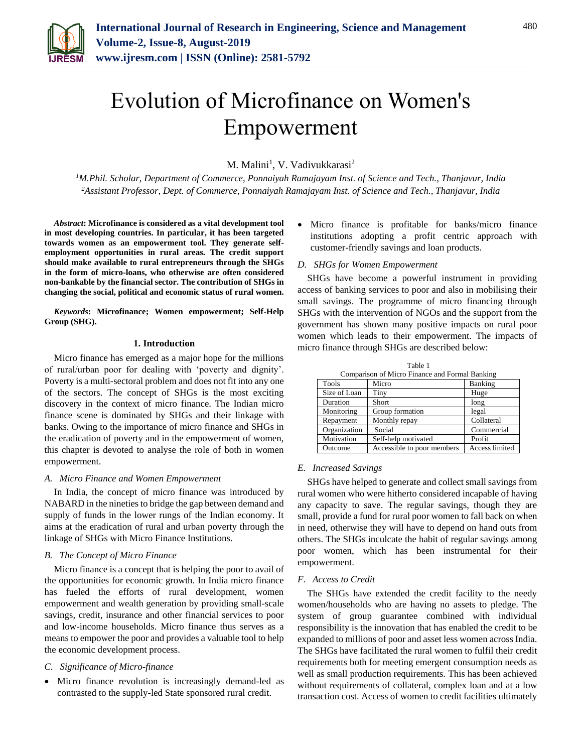

# Evolution of Microfinance on Women's Empowerment

M. Malini<sup>1</sup>, V. Vadivukkarasi<sup>2</sup>

*<sup>1</sup>M.Phil. Scholar, Department of Commerce, Ponnaiyah Ramajayam Inst. of Science and Tech., Thanjavur, India <sup>2</sup>Assistant Professor, Dept. of Commerce, Ponnaiyah Ramajayam Inst. of Science and Tech., Thanjavur, India*

*Abstract***: Microfinance is considered as a vital development tool in most developing countries. In particular, it has been targeted towards women as an empowerment tool. They generate selfemployment opportunities in rural areas. The credit support should make available to rural entrepreneurs through the SHGs in the form of micro-loans, who otherwise are often considered non-bankable by the financial sector. The contribution of SHGs in changing the social, political and economic status of rural women.**

*Keywords***: Microfinance; Women empowerment; Self-Help Group (SHG).**

#### **1. Introduction**

Micro finance has emerged as a major hope for the millions of rural/urban poor for dealing with 'poverty and dignity'. Poverty is a multi-sectoral problem and does not fit into any one of the sectors. The concept of SHGs is the most exciting discovery in the context of micro finance. The Indian micro finance scene is dominated by SHGs and their linkage with banks. Owing to the importance of micro finance and SHGs in the eradication of poverty and in the empowerment of women, this chapter is devoted to analyse the role of both in women empowerment.

#### *A. Micro Finance and Women Empowerment*

In India, the concept of micro finance was introduced by NABARD in the nineties to bridge the gap between demand and supply of funds in the lower rungs of the Indian economy. It aims at the eradication of rural and urban poverty through the linkage of SHGs with Micro Finance Institutions.

# *B. The Concept of Micro Finance*

Micro finance is a concept that is helping the poor to avail of the opportunities for economic growth. In India micro finance has fueled the efforts of rural development, women empowerment and wealth generation by providing small-scale savings, credit, insurance and other financial services to poor and low-income households. Micro finance thus serves as a means to empower the poor and provides a valuable tool to help the economic development process.

#### *C. Significance of Micro-finance*

 Micro finance revolution is increasingly demand-led as contrasted to the supply-led State sponsored rural credit.

 Micro finance is profitable for banks/micro finance institutions adopting a profit centric approach with customer-friendly savings and loan products.

#### *D. SHGs for Women Empowerment*

SHGs have become a powerful instrument in providing access of banking services to poor and also in mobilising their small savings. The programme of micro financing through SHGs with the intervention of NGOs and the support from the government has shown many positive impacts on rural poor women which leads to their empowerment. The impacts of micro finance through SHGs are described below:

Comparison of Micro Finance and Formal Banking Tools Micro Banking Size of Loan Tiny Huge Duration Short long Monitoring Group formation legal Repayment Monthly repay Collateral Organization Social Commercial Motivation Self-help motivated Profit Outcome Accessible to poor members Access limited

Table 1

#### *E. Increased Savings*

SHGs have helped to generate and collect small savings from rural women who were hitherto considered incapable of having any capacity to save. The regular savings, though they are small, provide a fund for rural poor women to fall back on when in need, otherwise they will have to depend on hand outs from others. The SHGs inculcate the habit of regular savings among poor women, which has been instrumental for their empowerment.

## *F. Access to Credit*

The SHGs have extended the credit facility to the needy women/households who are having no assets to pledge. The system of group guarantee combined with individual responsibility is the innovation that has enabled the credit to be expanded to millions of poor and asset less women across India. The SHGs have facilitated the rural women to fulfil their credit requirements both for meeting emergent consumption needs as well as small production requirements. This has been achieved without requirements of collateral, complex loan and at a low transaction cost. Access of women to credit facilities ultimately